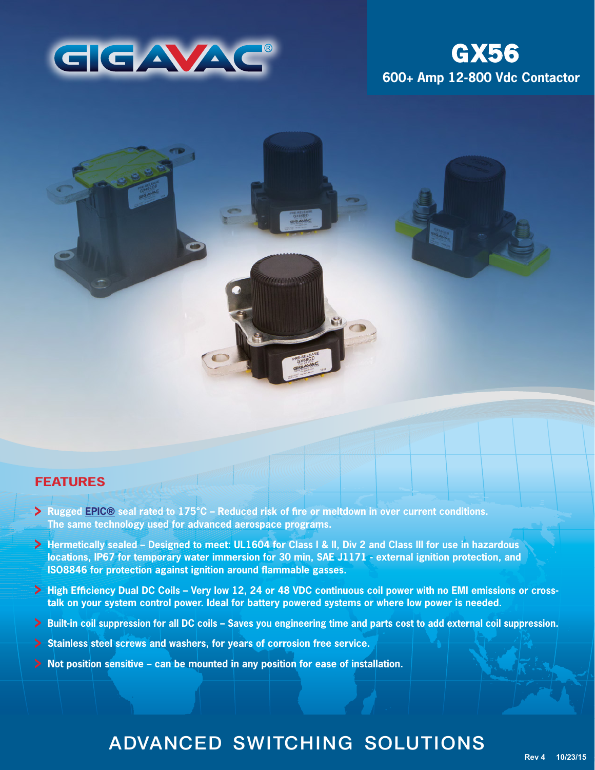

# **600+ Amp 12-800 Vdc Contactor GX56**



### **FEATURES**

- **Rugged [EPIC®](http://www.gigavac.com/application-notes/power-products/gigavac-patended-epic-technology) seal rated to 175°C Reduced risk of fire or meltdown in over current conditions. The same technology used for advanced aerospace programs.**
- **Hermetically sealed Designed to meet: UL1604 for Class I & II, Div 2 and Class III for use in hazardous locations, IP67 for temporary water immersion for 30 min, SAE J1171 - external ignition protection, and ISO8846 for protection against ignition around flammable gasses.**
- **High Efficiency Dual DC Coils Very low 12, 24 or 48 VDC continuous coil power with no EMI emissions or crosstalk on your system control power. Ideal for battery powered systems or where low power is needed.**
- **Built-in coil suppression for all DC coils Saves you engineering time and parts cost to add external coil suppression.**
- **Stainless steel screws and washers, for years of corrosion free service.**
- **Not position sensitive can be mounted in any position for ease of installation.**

# ADVANCED SWITCHING SOLUTIONS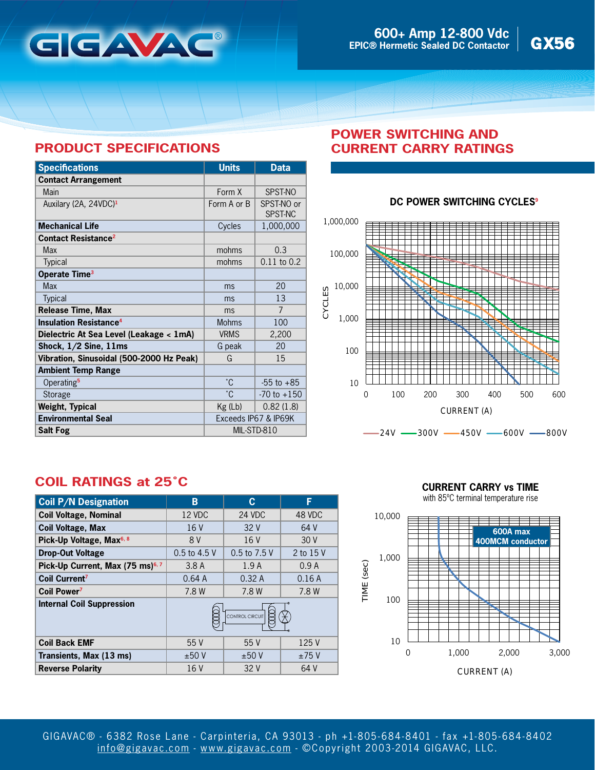

# **PRODUCT SPECIFICATIONS**

| <b>Specifications</b>                    | <b>Units</b>         | <b>Data</b>           |
|------------------------------------------|----------------------|-----------------------|
| <b>Contact Arrangement</b>               |                      |                       |
| Main                                     | Form X               | SPST-NO               |
| Auxilary (2A, 24VDC) <sup>1</sup>        | Form A or B          | SPST-NO or<br>SPST-NC |
| <b>Mechanical Life</b>                   | Cycles               | 1,000,000             |
| <b>Contact Resistance<sup>2</sup></b>    |                      |                       |
| Max                                      | mohms                | 0.3                   |
| Typical                                  | mohms                | $0.11$ to $0.2$       |
| Operate Time <sup>3</sup>                |                      |                       |
| <b>Max</b>                               | ms                   | 20                    |
| <b>Typical</b>                           | ms                   | 13                    |
| <b>Release Time, Max</b>                 | ms                   | 7                     |
| <b>Insulation Resistance<sup>4</sup></b> | <b>Mohms</b>         | 100                   |
| Dielectric At Sea Level (Leakage < 1mA)  | <b>VRMS</b>          | 2,200                 |
| Shock, $1/2$ Sine, $11ms$                | G peak               | 20                    |
| Vibration, Sinusoidal (500-2000 Hz Peak) | G                    | 15                    |
| <b>Ambient Temp Range</b>                |                      |                       |
| Operating <sup>5</sup>                   | °C.                  | $-55$ to $+85$        |
| Storage                                  | °С                   | $-70$ to $+150$       |
| <b>Weight, Typical</b>                   | $Kg$ (Lb)            | 0.82(1.8)             |
| <b>Environmental Seal</b>                | Exceeds IP67 & IP69K |                       |
| <b>Salt Fog</b>                          | MIL-STD-810          |                       |

## **POWER SWITCHING AND CURRENT CARRY RATINGS**

### **DC POWER SWITCHING CYCLES<sup>9</sup>**



## **COIL RATINGS at 25˚C**

| <b>Coil P/N Designation</b>                  | В               | C            | F         |
|----------------------------------------------|-----------------|--------------|-----------|
| <b>Coil Voltage, Nominal</b>                 | 12 VDC          | 24 VDC       | 48 VDC    |
| <b>Coil Voltage, Max</b>                     | 16V             | 32V          | 64 V      |
| Pick-Up Voltage, Max <sup>6, 8</sup>         | 8 V             | 16 V         | 30V       |
| <b>Drop-Out Voltage</b>                      | 0.5 to 4.5 V    | 0.5 to 7.5 V | 2 to 15 V |
| Pick-Up Current, Max (75 ms) <sup>6, 7</sup> | 3.8A            | 1.9A         | 0.9A      |
| Coil Current <sup>7</sup>                    | 0.64A           | 0.32A        | 0.16A     |
| Coil Power <sup>7</sup>                      | 7.8 W           | 7.8 W        | 7.8 W     |
| <b>Internal Coil Suppression</b>             | CONTROL CIRCUIT |              |           |
| <b>Coil Back EMF</b>                         | 55 V            | 55V          | 125 V     |
| Transients, Max (13 ms)                      | ±50V            | ±50V         | ±75V      |
| <b>Reverse Polarity</b>                      | 16 V            | 32 V         | 64 V      |

**CURRENT CARRY vs TIME**

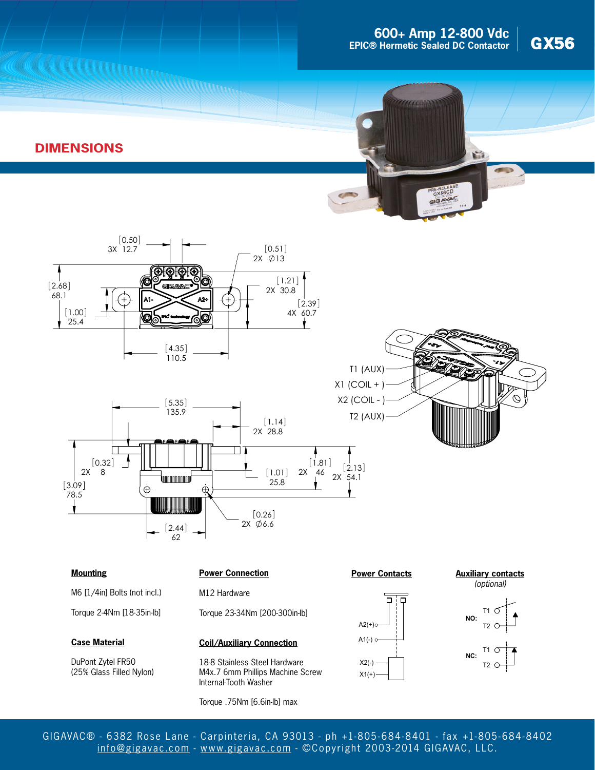





 $[0.50]$ 



 $3x \, 12.7$   $\sim$  [0.51]



#### **Mounting**

M6 [1/4in] Bolts (not incl.)

Torque 2-4Nm [18-35in-lb]

#### **Case Material**

DuPont Zytel FR50 (25% Glass Filled Nylon)

#### **Power Connection**

M12 Hardware

62  $[2.44]$ 

Torque 23-34Nm [200-300in-lb]

 $2X \phi$ 6.6

#### **Coil/Auxiliary Connection**

18-8 Stainless Steel Hardware M4x.7 6mm Phillips Machine Screw Internal-Tooth Washer

Torque .75Nm [6.6in-lb] max

#### **Power Contacts**



**Auxiliary contacts** (optional)





GIGAVAC® - 6382 Rose Lane - Carpinteria, CA 93013 - ph +1-805- 684-8401 - fax +1-805- 684-8402 [info@gigavac.com](mailto:info@gigavac.com) - <www.gigavac.com> - ©Copyright 2003-2014 GIGAVAC, LLC.